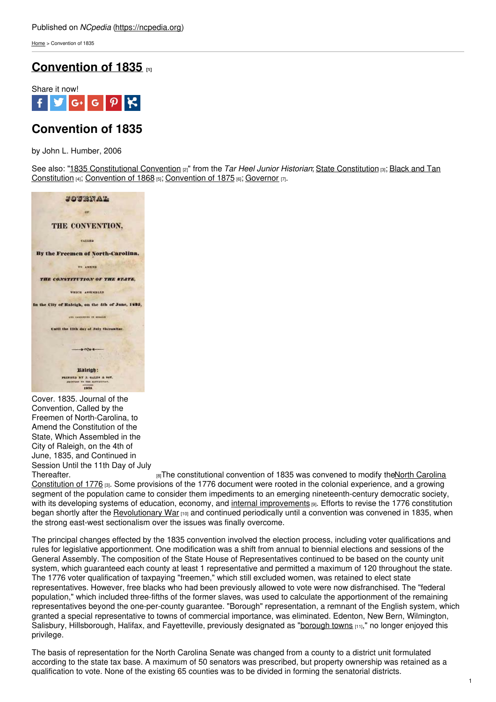[Home](https://ncpedia.org/) > Convention of 1835

## **[Convention](https://ncpedia.org/government/convention-1835) of 1835 [1]**



# **Convention of 1835**

by John L. Humber, 2006

See also: "1835 [Constitutional](https://ncpedia.org/black-and-tan-constitution) Convention [2]" from the *Tar Heel Junior Historian*; State [Constitution](https://ncpedia.org/government/nc-constitution-history) [3]; Black and Tan Constitution [4]; [Convention](https://ncpedia.org/government/convention-1875) of 1868 [5]; Convention of 1875 [6]; [Governor](https://ncpedia.org/government/governorship) [7].



Cover. 1835. Journal of the Convention, Called by the Freemen of North-Carolina, to Amend the Constitution of the State, Which Assembled in the City of Raleigh, on the 4th of June, 1835, and Continued in Session Until the 11th Day of July

[Thereafter.](https://docsouth.unc.edu/nc/conv1835/menu.html) **EXECUTE:** The [constitutional](https://ncpedia.org/government/nc-constitution-history) convention of 1835 was convened to modify theNorth Carolina Constitution of 1776 [3]. Some provisions of the 1776 document were rooted in the colonial experience, and a growing segment of the population came to consider them impediments to an emerging nineteenth-century democratic society, with its developing systems of education, economy, and internal [improvements](https://ncpedia.org/internal-improvements-0) [9]. Efforts to revise the 1776 constitution began shortly after the [Revolutionary](https://ncpedia.org/american-revolution) War [10] and continued periodically until a convention was convened in 1835, when the strong east-west sectionalism over the issues was finally overcome.

The principal changes effected by the 1835 convention involved the election process, including voter qualifications and rules for legislative apportionment. One modification was a shift from annual to biennial elections and sessions of the General Assembly. The composition of the State House of Representatives continued to be based on the county unit system, which guaranteed each county at least 1 representative and permitted a maximum of 120 throughout the state. The 1776 voter qualification of taxpaying "freemen," which still excluded women, was retained to elect state representatives. However, free blacks who had been previously allowed to vote were now disfranchised. The "federal population," which included three-fifths of the former slaves, was used to calculate the apportionment of the remaining representatives beyond the one-per-county guarantee. "Borough" representation, a remnant of the English system, which granted a special representative to towns of commercial importance, was eliminated. Edenton, New Bern, Wilmington, Salisbury, Hillsborough, Halifax, and Fayetteville, previously designated as ["borough](https://ncpedia.org/borough-towns) towns [11]," no longer enjoyed this privilege.

The basis of representation for the North Carolina Senate was changed from a county to a district unit formulated according to the state tax base. A maximum of 50 senators was prescribed, but property ownership was retained as a qualification to vote. None of the existing 65 counties was to be divided in forming the senatorial districts.